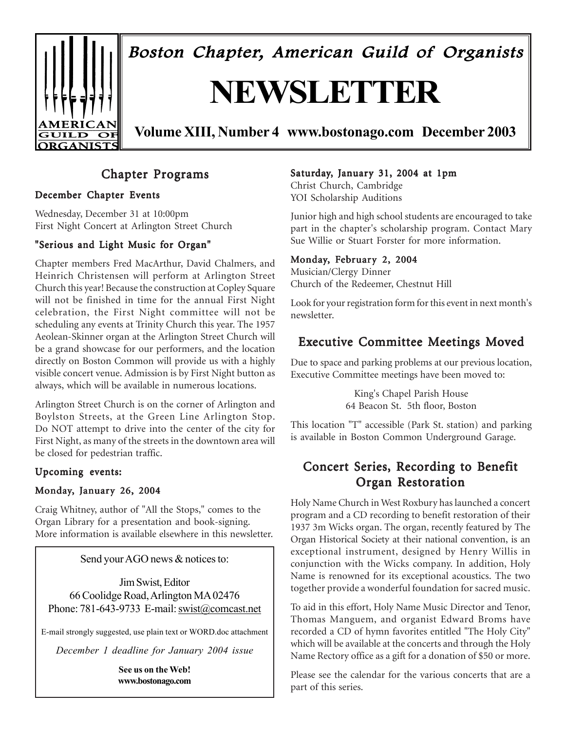

Boston Chapter, American Guild of Organists

# **NEWSLETTER**

**Volume XIII, Number 4 www.bostonago.com December 2003**

### Chapter Programs

### December Chapter Events

Wednesday, December 31 at 10:00pm First Night Concert at Arlington Street Church

### "Serious and Light Music for Organ"

Chapter members Fred MacArthur, David Chalmers, and Heinrich Christensen will perform at Arlington Street Church this year! Because the construction at Copley Square will not be finished in time for the annual First Night celebration, the First Night committee will not be scheduling any events at Trinity Church this year. The 1957 Aeolean-Skinner organ at the Arlington Street Church will be a grand showcase for our performers, and the location directly on Boston Common will provide us with a highly visible concert venue. Admission is by First Night button as always, which will be available in numerous locations.

Arlington Street Church is on the corner of Arlington and Boylston Streets, at the Green Line Arlington Stop. Do NOT attempt to drive into the center of the city for First Night, as many of the streets in the downtown area will be closed for pedestrian traffic.

#### Upcoming events:

#### Monday, January 26, 2004

Craig Whitney, author of "All the Stops," comes to the Organ Library for a presentation and book-signing. More information is available elsewhere in this newsletter.

Send your AGO news & notices to:

Jim Swist, Editor 66 Coolidge Road, Arlington MA 02476 Phone: 781-643-9733 E-mail: swist@comcast.net

E-mail strongly suggested, use plain text or WORD.doc attachment

*December 1 deadline for January 2004 issue*

**See us on the Web! www.bostonago.com**

#### Saturday, January 31, 2004 at 1pm

Christ Church, Cambridge YOI Scholarship Auditions

Junior high and high school students are encouraged to take part in the chapter's scholarship program. Contact Mary Sue Willie or Stuart Forster for more information.

### Monday, February 2, 2004

Musician/Clergy Dinner Church of the Redeemer, Chestnut Hill

Look for your registration form for this event in next month's newsletter.

### Executive Committee Meetings Moved

Due to space and parking problems at our previous location, Executive Committee meetings have been moved to:

> King's Chapel Parish House 64 Beacon St. 5th floor, Boston

This location "T" accessible (Park St. station) and parking is available in Boston Common Underground Garage.

### Concert Series, Recording to Benefit Organ Restoration

Holy Name Church in West Roxbury has launched a concert program and a CD recording to benefit restoration of their 1937 3m Wicks organ. The organ, recently featured by The Organ Historical Society at their national convention, is an exceptional instrument, designed by Henry Willis in conjunction with the Wicks company. In addition, Holy Name is renowned for its exceptional acoustics. The two together provide a wonderful foundation for sacred music.

To aid in this effort, Holy Name Music Director and Tenor, Thomas Manguem, and organist Edward Broms have recorded a CD of hymn favorites entitled "The Holy City" which will be available at the concerts and through the Holy Name Rectory office as a gift for a donation of \$50 or more.

Please see the calendar for the various concerts that are a part of this series.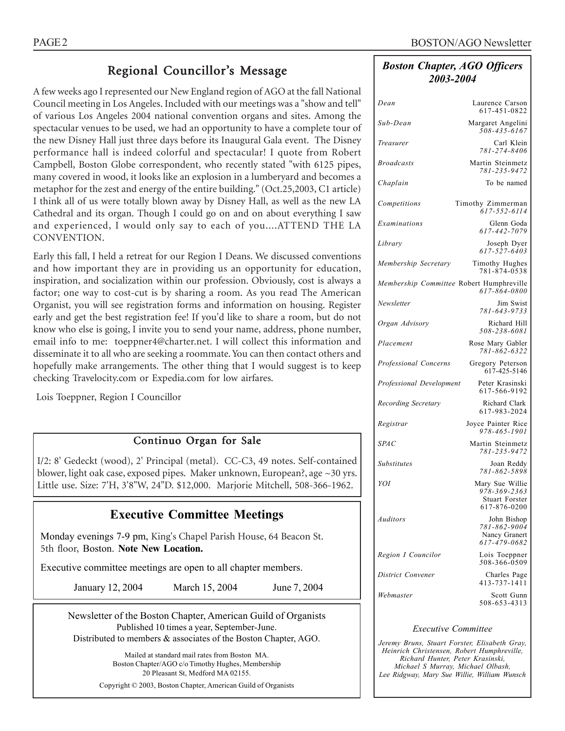### Regional Councillor's Message

A few weeks ago I represented our New England region of AGO at the fall National Council meeting in Los Angeles. Included with our meetings was a "show and tell" of various Los Angeles 2004 national convention organs and sites. Among the spectacular venues to be used, we had an opportunity to have a complete tour of the new Disney Hall just three days before its Inaugural Gala event. The Disney performance hall is indeed colorful and spectacular! I quote from Robert Campbell, Boston Globe correspondent, who recently stated "with 6125 pipes, many covered in wood, it looks like an explosion in a lumberyard and becomes a metaphor for the zest and energy of the entire building." (Oct.25,2003, C1 article) I think all of us were totally blown away by Disney Hall, as well as the new LA Cathedral and its organ. Though I could go on and on about everything I saw and experienced, I would only say to each of you....ATTEND THE LA CONVENTION.

Early this fall, I held a retreat for our Region I Deans. We discussed conventions and how important they are in providing us an opportunity for education, inspiration, and socialization within our profession. Obviously, cost is always a factor; one way to cost-cut is by sharing a room. As you read The American Organist, you will see registration forms and information on housing. Register early and get the best registration fee! If you'd like to share a room, but do not know who else is going, I invite you to send your name, address, phone number, email info to me: toeppner4@charter.net. I will collect this information and disseminate it to all who are seeking a roommate. You can then contact others and hopefully make arrangements. The other thing that I would suggest is to keep checking Travelocity.com or Expedia.com for low airfares.

Lois Toeppner, Region I Councillor

### Continuo Organ for Sale

I/2: 8' Gedeckt (wood), 2' Principal (metal). CC-C3, 49 notes. Self-contained blower, light oak case, exposed pipes. Maker unknown, European?, age ~30 yrs. Little use. Size: 7'H, 3'8"W, 24"D. \$12,000. Marjorie Mitchell, 508-366-1962.

### **Executive Committee Meetings**

Monday evenings 7-9 pm, King's Chapel Parish House, 64 Beacon St. 5th floor, Boston. **Note New Location.**

Executive committee meetings are open to all chapter members.

January 12, 2004 March 15, 2004 June 7, 2004

Newsletter of the Boston Chapter, American Guild of Organists Published 10 times a year, September-June. Distributed to members & associates of the Boston Chapter, AGO.

> Mailed at standard mail rates from Boston MA. Boston Chapter/AGO c/o Timothy Hughes, Membership 20 Pleasant St, Medford MA 02155. Copyright © 2003, Boston Chapter, American Guild of Organists

### *Boston Chapter, AGO Officers 2003-2004*

| Dean                                     | Laurence Carson<br>617-451-0822                                          |
|------------------------------------------|--------------------------------------------------------------------------|
| Sub-Dean                                 | Margaret Angelini<br>$508 - 435 - 6167$                                  |
| Treasurer                                | Carl Klein<br>781-274-8406                                               |
| <b>Broadcasts</b>                        | Martin Steinmetz<br>781-235-9472                                         |
| Chaplain                                 | To be named                                                              |
| Competitions                             | Timothy Zimmerman<br>617-552-6114                                        |
| Examinations                             | Glenn Goda<br>617-442-7079                                               |
| Library                                  | Joseph Dyer<br>$617 - 527 - 6403$                                        |
| Membership Secretary                     | Timothy Hughes<br>781-874-0538                                           |
| Membership Committee Robert Humphreville | 617-864-0800                                                             |
| Newsletter                               | Jim Swist<br>781-643-9733                                                |
| Organ Advisory                           | Richard Hill<br>508-238-6081                                             |
| Placement                                | Rose Mary Gabler<br>781-862-6322                                         |
| Professional Concerns                    | Gregory Peterson<br>617-425-5146                                         |
| Professional Development                 | Peter Krasinski<br>617-566-9192                                          |
| Recording Secretary                      | Richard Clark<br>617-983-2024                                            |
| Registrar                                | Joyce Painter Rice<br>978-465-1901                                       |
| <b>SPAC</b>                              | Martin Steinmetz<br>781-235-9472                                         |
| <b>Substitutes</b>                       | Joan Reddy<br>781-862-5898                                               |
| YOI                                      | Mary Sue Willie<br>978-369-2363<br><b>Stuart Forster</b><br>617-876-0200 |
| Auditors                                 | John Bishop<br>781-862-9004<br>Nancy Granert<br>617-479-0682             |
| Region I Councilor                       | Lois Toeppner<br>508-366-0509                                            |
| District Convener                        | Charles Page<br>413-737-1411                                             |
| Webmaster                                | Scott Gunn<br>508-653-4313                                               |

#### *Executive Committee*

*Jeremy Bruns, Stuart Forster, Elisabeth Gray, Heinrich Christensen, Robert Humphreville, Richard Hunter, Peter Krasinski, Michael S Murray, Michael Olbash, Lee Ridgway, Mary Sue Willie, William Wunsch*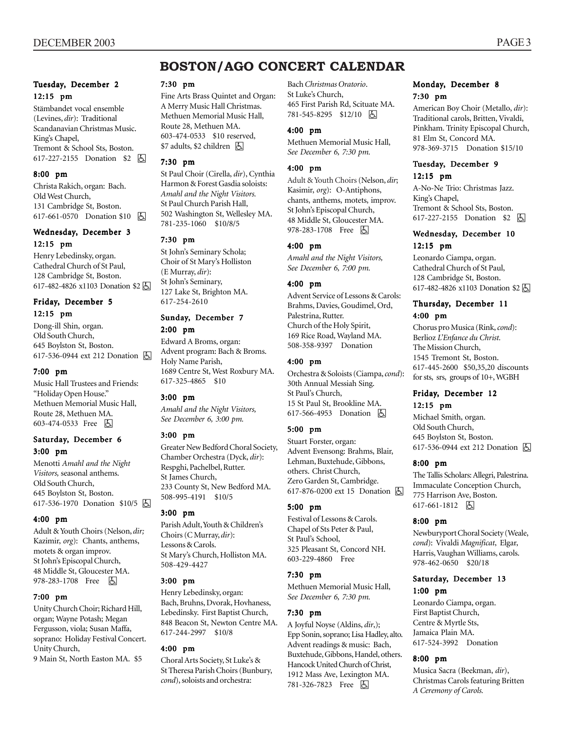### **BOSTON/AGO CONCERT CALENDAR**

#### Tuesday, December 2 12:15 pm

Stämbandet vocal ensemble (Levines, *dir*): Traditional Scandanavian Christmas Music. King's Chapel, Tremont & School Sts, Boston. 617-227-2155 Donation \$2 囚

#### 8:00 pm

Christa Rakich, organ: Bach. Old West Church, 131 Cambridge St, Boston. 617-661-0570 Donation \$10 | A

#### Wednesday, December 3 12:15 pm

Henry Lebedinsky, organ. Cathedral Church of St Paul, 128 Cambridge St, Boston. 617-482-4826 x1103 Donation \$2 h

#### Friday, December 5 12:15 pm

Dong-ill Shin, organ. Old South Church, 645 Boylston St, Boston. 617-536-0944 ext 212 Donation h

#### 7:00 pm

Music Hall Trustees and Friends: "Holiday Open House." Methuen Memorial Music Hall, Route 28, Methuen MA. 603-474-0533 Free 因

#### Saturday, December 6 3:00 pm

Menotti *Amahl and the Night Visitors,* seasonal anthems. Old South Church, 645 Boylston St, Boston. 617-536-1970 Donation \$10/5 h

#### 4:00 pm

Adult & Youth Choirs (Nelson, *dir;* Kazimir, *org*): Chants, anthems, motets & organ improv. St John's Episcopal Church, 48 Middle St, Gloucester MA. 978-283-1708 Free 因

#### 7:00 pm

Unity Church Choir; Richard Hill, organ; Wayne Potash; Megan Fergusson, viola; Susan Maffa, soprano: Holiday Festival Concert. Unity Church,

9 Main St, North Easton MA. \$5

#### 7:30 pm

Fine Arts Brass Quintet and Organ: A Merry Music Hall Christmas. Methuen Memorial Music Hall, Route 28, Methuen MA. 603-474-0533 \$10 reserved,  $$7$  adults, \$2 children  $\Box$ 

#### 7:30 pm

St Paul Choir (Cirella, *dir*), Cynthia Harmon & Forest Gasdia soloists: *Amahl and the Night Visitors.* St Paul Church Parish Hall, 502 Washington St, Wellesley MA. 781-235-1060 \$10/8/5

#### 7:30 pm

St John's Seminary Schola; Choir of St Mary's Holliston (E Murray, *dir*): St John's Seminary, 127 Lake St, Brighton MA. 617-254-2610

#### Sunday, December 7 2:00 pm

Edward A Broms, organ: Advent program: Bach & Broms. Holy Name Parish, 1689 Centre St, West Roxbury MA. 617-325-4865 \$10

#### 3:00 pm

*Amahl and the Night Visitors, See December 6, 3:00 pm.*

#### 3:00 pm

Greater New Bedford Choral Society, Chamber Orchestra (Dyck, *dir*): Respghi, Pachelbel, Rutter. St James Church, 233 County St, New Bedford MA. 508-995-4191 \$10/5

#### 3:00 pm

Parish Adult, Youth & Children's Choirs (C Murray, *dir*): Lessons & Carols. St Mary's Church, Holliston MA. 508-429-4427

#### 3:00 pm

Henry Lebedinsky, organ: Bach, Bruhns, Dvorak, Hovhaness, Lebedinsky. First Baptist Church, 848 Beacon St, Newton Centre MA. 617-244-2997 \$10/8

#### 4:00 pm

Choral Arts Society, St Luke's & St Theresa Parish Choirs (Bunbury, *cond*), soloists and orchestra:

Bach *Christmas Oratorio*. St Luke's Church, 465 First Parish Rd, Scituate MA. 781-545-8295 \$12/10 | 5

#### 4:00 pm

Methuen Memorial Music Hall, *See December 6, 7:30 pm.*

#### 4:00 pm

Adult & Youth Choirs (Nelson, *dir*; Kasimir, *org*): O-Antiphons, chants, anthems, motets, improv. St John's Episcopal Church, 48 Middle St, Gloucester MA. 978-283-1708 Free 因

#### 4:00 pm

*Amahl and the Night Visitors, See December 6, 7:00 pm.*

#### 4:00 pm

Advent Service of Lessons & Carols: Brahms, Davies, Goudimel, Ord, Palestrina, Rutter. Church of the Holy Spirit, 169 Rice Road, Wayland MA. 508-358-9397 Donation

#### 4:00 pm

Orchestra & Soloists (Ciampa, *cond*): 30th Annual Messiah Sing. St Paul's Church, 15 St Paul St, Brookline MA. 617-566-4953 Donation **b** 

#### 5:00 pm

Stuart Forster, organ: Advent Evensong: Brahms, Blair, Lehman, Buxtehude, Gibbons, others. Christ Church, Zero Garden St, Cambridge. 617-876-0200 ext 15 Donation **b** 

#### 5:00 pm

Festival of Lessons & Carols. Chapel of Sts Peter & Paul, St Paul's School, 325 Pleasant St, Concord NH. 603-229-4860 Free

#### 7:30 pm

Methuen Memorial Music Hall, *See December 6, 7:30 pm.*

#### 7:30 pm

A Joyful Noyse (Aldins, *dir*,); Epp Sonin, soprano; Lisa Hadley, alto. Advent readings & music: Bach, Buxtehude, Gibbons, Handel, others. Hancock United Church of Christ, 1912 Mass Ave, Lexington MA. 781-326-7823 Free 因

#### Monday, December 8 7:30 pm

American Boy Choir (Metallo, *dir*): Traditional carols, Britten, Vivaldi, Pinkham. Trinity Episcopal Church, 81 Elm St, Concord MA. 978-369-3715 Donation \$15/10

#### Tuesday, December 9 12:15 pm

A-No-Ne Trio: Christmas Jazz. King's Chapel, Tremont & School Sts, Boston. 617-227-2155 Donation \$2 **固** 

#### Wednesday, December 10 12:15 pm

Leonardo Ciampa, organ. Cathedral Church of St Paul, 128 Cambridge St, Boston. 617-482-4826 x1103 Donation \$2

#### Thursday, December 11 4:00 pm

Chorus pro Musica (Rink, *cond*): Berlioz *L'Enfance du Christ.* The Mission Church, 1545 Tremont St, Boston. 617-445-2600 \$50,35,20 discounts for sts, srs, groups of 10+, WGBH

#### Friday, December 12 12:15 pm

Michael Smith, organ. Old South Church, 645 Boylston St, Boston. 617-536-0944 ext 212 Donation **b** 

#### 8:00 pm

The Tallis Scholars: Allegri, Palestrina. Immaculate Conception Church, 775 Harrison Ave, Boston. 617-661-1812 6

#### 8:00 pm

Newburyport Choral Society (Weale, *cond*): Vivaldi *Magnificat*, Elgar, Harris, Vaughan Williams, carols. 978-462-0650 \$20/18

#### Saturday, December 13 1:00 pm

Leonardo Ciampa, organ. First Baptist Church, Centre & Myrtle Sts, Jamaica Plain MA. 617-524-3992 Donation

#### 8:00 pm

Musica Sacra (Beekman, *dir*), Christmas Carols featuring Britten *A Ceremony of Carols.*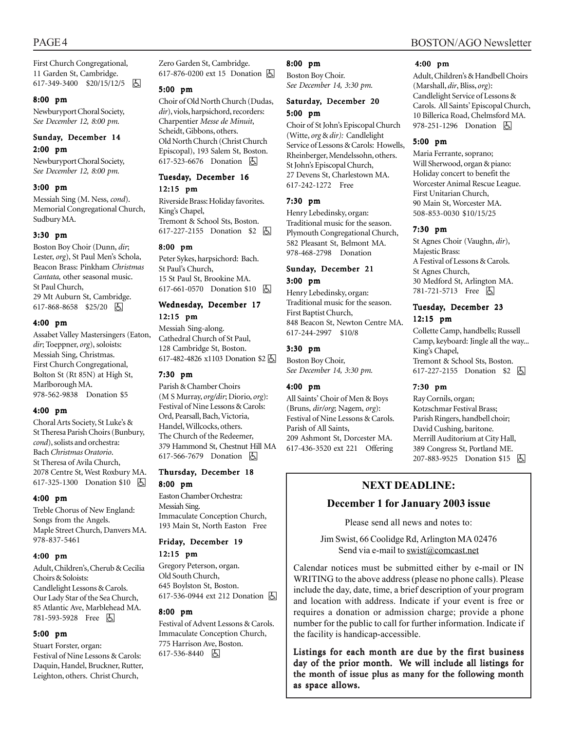First Church Congregational, 11 Garden St, Cambridge. 617-349-3400 \$20/15/12/5 h

#### 8:00 pm

Newburyport Choral Society, *See December 12, 8:00 pm.*

#### Sunday, December 14 2:00 pm

Newburyport Choral Society, *See December 12, 8:00 pm.*

#### 3:00 pm

Messiah Sing (M. Ness, *cond*). Memorial Congregational Church, Sudbury MA.

#### 3:30 pm

Boston Boy Choir (Dunn, *dir*; Lester, *org*), St Paul Men's Schola, Beacon Brass: Pinkham *Christmas Cantata,* other seasonal music. St Paul Church, 29 Mt Auburn St, Cambridge. 617-868-8658 \$25/20 | 5

#### 4:00 pm

Assabet Valley Mastersingers (Eaton, *dir*; Toeppner, *org*), soloists: Messiah Sing, Christmas. First Church Congregational, Bolton St (Rt 85N) at High St, Marlborough MA. 978-562-9838 Donation \$5

#### 4:00 pm

Choral Arts Society, St Luke's & St Theresa Parish Choirs (Bunbury, *cond*), solists and orchestra: Bach *Christmas Oratorio*. St Theresa of Avila Church, 2078 Centre St, West Roxbury MA. 617-325-1300 Donation \$10 **b** 

#### 4:00 pm

Treble Chorus of New England: Songs from the Angels. Maple Street Church, Danvers MA. 978-837-5461

#### 4:00 pm

Adult, Children's, Cherub & Cecilia Choirs & Soloists: Candlelight Lessons & Carols. Our Lady Star of the Sea Church, 85 Atlantic Ave, Marblehead MA. 781-593-5928 Free 因

#### 5:00 pm

Stuart Forster, organ: Festival of Nine Lessons & Carols: Daquin, Handel, Bruckner, Rutter, Leighton, others. Christ Church,

Zero Garden St, Cambridge. 617-876-0200 ext 15 Donation h

#### 5:00 pm

Choir of Old North Church (Dudas, *dir*), viols, harpsichord, recorders: Charpentier *Messe de Minuit*, Scheidt, Gibbons, others. Old North Church (Christ Church Episcopal), 193 Salem St, Boston. 617-523-6676 Donation **A** 

### Tuesday, December 16

12:15 pm Riverside Brass: Holiday favorites. King's Chapel, Tremont & School Sts, Boston. 617-227-2155 Donation \$2 **b** 

#### 8:00 pm

Peter Sykes, harpsichord: Bach. St Paul's Church, 15 St Paul St, Brookine MA. 617-661-0570 Donation \$10 因

#### Wednesday, December 17 12:15 pm

Messiah Sing-along. Cathedral Church of St Paul, 128 Cambridge St, Boston. 617-482-4826 x1103 Donation \$2 h

#### 7:30 pm

Parish & Chamber Choirs (M S Murray, *org/dir*; Diorio, *org*): Festival of Nine Lessons & Carols: Ord, Pearsall, Bach, Victoria, Handel, Willcocks, others. The Church of the Redeemer, 379 Hammond St, Chestnut Hill MA 617-566-7679 Donation **A** 

#### Thursday, December 18 8:00 pm

Easton Chamber Orchestra: Messiah Sing. Immaculate Conception Church, 193 Main St, North Easton Free

### Friday, December 19

12:15 pm

Gregory Peterson, organ. Old South Church, 645 Boylston St, Boston. 617-536-0944 ext 212 Donation  $\boxed{6}$ 

#### 8:00 pm

Festival of Advent Lessons & Carols. Immaculate Conception Church, 775 Harrison Ave, Boston. 617-536-8440 因

#### 8:00 pm

Boston Boy Choir. *See December 14, 3:30 pm.*

#### Saturday, December 20 5:00 pm

Choir of St John's Episcopal Church (Witte, *org* & *dir):* Candlelight Service of Lessons & Carols: Howells, Rheinberger, Mendelssohn, others. St John's Episcopal Church, 27 Devens St, Charlestown MA. 617-242-1272 Free

#### 7:30 pm

Henry Lebedinsky, organ: Traditional music for the season. Plymouth Congregational Church, 582 Pleasant St, Belmont MA. 978-468-2798 Donation

#### Sunday, December 21 3:00 pm

Henry Lebedinsky, organ: Traditional music for the season. First Baptist Church, 848 Beacon St, Newton Centre MA. 617-244-2997 \$10/8

#### 3:30 pm

Boston Boy Choir, *See December 14, 3:30 pm.*

#### 4:00 pm

All Saints' Choir of Men & Boys (Bruns, *dir/org*; Nagem, *org*): Festival of Nine Lessons & Carols. Parish of All Saints, 209 Ashmont St, Dorcester MA. 617-436-3520 ext 221 Offering

#### PAGE 4 BOSTON/AGO Newsletter

#### 4:00 pm

Adult, Children's & Handbell Choirs (Marshall, *dir*, Bliss, *org*): Candlelight Service of Lessons & Carols. All Saints' Episcopal Church, 10 Billerica Road, Chelmsford MA. 978-251-1296 Donation **A** 

#### 5:00 pm

Maria Ferrante, soprano; Will Sherwood, organ & piano: Holiday concert to benefit the Worcester Animal Rescue League. First Unitarian Church, 90 Main St, Worcester MA. 508-853-0030 \$10/15/25

#### 7:30 pm

St Agnes Choir (Vaughn, *dir*), Majestic Brass: A Festival of Lessons & Carols. St Agnes Church, 30 Medford St, Arlington MA. 781-721-5713 Free 因

#### Tuesday, December 23 12:15 pm

Collette Camp, handbells; Russell Camp, keyboard: Jingle all the way... King's Chapel, Tremont & School Sts, Boston. 617-227-2155 Donation \$2 **A** 

#### 7:30 pm

Ray Cornils, organ; Kotzschmar Festival Brass; Parish Ringers, handbell choir; David Cushing, baritone. Merrill Auditorium at City Hall, 389 Congress St, Portland ME. 207-883-9525 Donation \$15 A

#### **NEXT DEADLINE:**

#### **December 1 for January 2003 issue**

Please send all news and notes to:

Jim Swist, 66 Coolidge Rd, Arlington MA 02476 Send via e-mail to swist@comcast.net

Calendar notices must be submitted either by e-mail or IN WRITING to the above address (please no phone calls). Please include the day, date, time, a brief description of your program and location with address. Indicate if your event is free or requires a donation or admission charge; provide a phone number for the public to call for further information. Indicate if the facility is handicap-accessible.

Listings for each month are due by the first business day of the prior month. We will include all listings for the month of issue plus as many for the following month as space allows.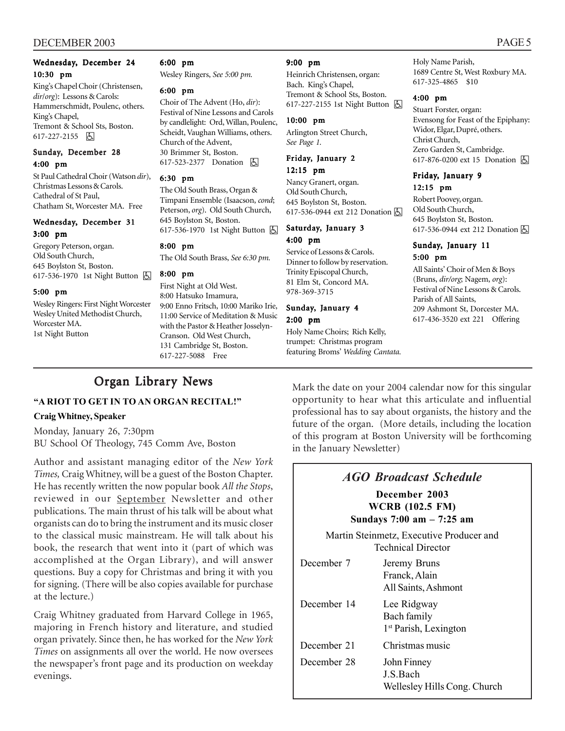#### DECEMBER 2003 PAGE 5

#### Wednesday, December 24 10:30 pm

King's Chapel Choir (Christensen, *dir*/*org*): Lessons & Carols: Hammerschmidt, Poulenc, others. King's Chapel, Tremont & School Sts, Boston. 617-227-2155 因

#### Sunday, December 28 4:00 pm

St Paul Cathedral Choir (Watson *dir*), Christmas Lessons & Carols. Cathedral of St Paul, Chatham St, Worcester MA. Free

#### Wednesday, December 31 3:00 pm

Gregory Peterson, organ. Old South Church, 645 Boylston St, Boston. 617-536-1970 1st Night Button [5]

#### 5:00 pm

Wesley Ringers: First Night Worcester Wesley United Methodist Church, Worcester MA. 1st Night Button

#### 6:00 pm

Wesley Ringers, *See 5:00 pm.*

#### 6:00 pm

Choir of The Advent (Ho, *dir*): Festival of Nine Lessons and Carols by candlelight: Ord, Willan, Poulenc, Scheidt, Vaughan Williams, others. Church of the Advent, 30 Brimmer St, Boston. 617-523-2377 Donation **A** 

#### 6:30 pm

The Old South Brass, Organ & Timpani Ensemble (Isaacson, *cond*; Peterson, *org*). Old South Church, 645 Boylston St, Boston. 617-536-1970 1st Night Button **内** 

#### 8:00 pm

The Old South Brass, *See 6:30 pm.*

#### 8:00 pm

First Night at Old West. 8:00 Hatsuko Imamura, 9:00 Enno Fritsch, 10:00 Mariko Irie, 11:00 Service of Meditation & Music with the Pastor & Heather Josselyn-Cranson. Old West Church, 131 Cambridge St, Boston. 617-227-5088 Free

#### 9:00 pm

Heinrich Christensen, organ: Bach. King's Chapel, Tremont & School Sts, Boston. 617-227-2155 1st Night Button  $\Box$ 

#### 10:00 pm

Arlington Street Church, *See Page 1.*

#### Friday, January 2 12:15 pm

Nancy Granert, organ. Old South Church, 645 Boylston St, Boston. 617-536-0944 ext 212 Donation [5]

#### Saturday, January 3 4:00 pm

Service of Lessons & Carols. Dinner to follow by reservation. Trinity Episcopal Church, 81 Elm St, Concord MA. 978-369-3715

#### Sunday, January 4 2:00 pm

Holy Name Choirs; Rich Kelly, trumpet: Christmas program featuring Broms' *Wedding Cantata.* Holy Name Parish, 1689 Centre St, West Roxbury MA. 617-325-4865 \$10

#### 4:00 pm

Stuart Forster, organ: Evensong for Feast of the Epiphany: Widor, Elgar, Dupré, others. Christ Church, Zero Garden St, Cambridge. 617-876-0200 ext 15 Donation  $\boxed{6}$ 

## Friday, January 9

12:15 pm Robert Poovey, organ. Old South Church, 645 Boylston St, Boston. 617-536-0944 ext 212 Donation **6** 

#### Sunday, January 11 5:00 pm

All Saints' Choir of Men & Boys (Bruns, *dir/org*; Nagem, *org*): Festival of Nine Lessons & Carols. Parish of All Saints, 209 Ashmont St, Dorcester MA. 617-436-3520 ext 221 Offering

### Organ Library News

#### **"A RIOT TO GET IN TO AN ORGAN RECITAL!"**

#### **Craig Whitney, Speaker**

Monday, January 26, 7:30pm BU School Of Theology, 745 Comm Ave, Boston

Author and assistant managing editor of the *New York Times,* Craig Whitney, will be a guest of the Boston Chapter. He has recently written the now popular book *All the Stops*, reviewed in our September Newsletter and other publications. The main thrust of his talk will be about what organists can do to bring the instrument and its music closer to the classical music mainstream. He will talk about his book, the research that went into it (part of which was accomplished at the Organ Library), and will answer questions. Buy a copy for Christmas and bring it with you for signing. (There will be also copies available for purchase at the lecture.)

Craig Whitney graduated from Harvard College in 1965, majoring in French history and literature, and studied organ privately. Since then, he has worked for the *New York Times* on assignments all over the world. He now oversees the newspaper's front page and its production on weekday evenings.

Mark the date on your 2004 calendar now for this singular opportunity to hear what this articulate and influential professional has to say about organists, the history and the future of the organ. (More details, including the location of this program at Boston University will be forthcoming in the January Newsletter)

### *AGO Broadcast Schedule*

### **December 2003 WCRB (102.5 FM)**

**Sundays 7:00 am – 7:25 am**

Martin Steinmetz, Executive Producer and Technical Director

December 7 Jeremy Bruns Franck, Alain All Saints, Ashmont December 14 Lee Ridgway Bach family 1<sup>st</sup> Parish, Lexington December 21 Christmas music December 28 John Finney J.S.Bach Wellesley Hills Cong. Church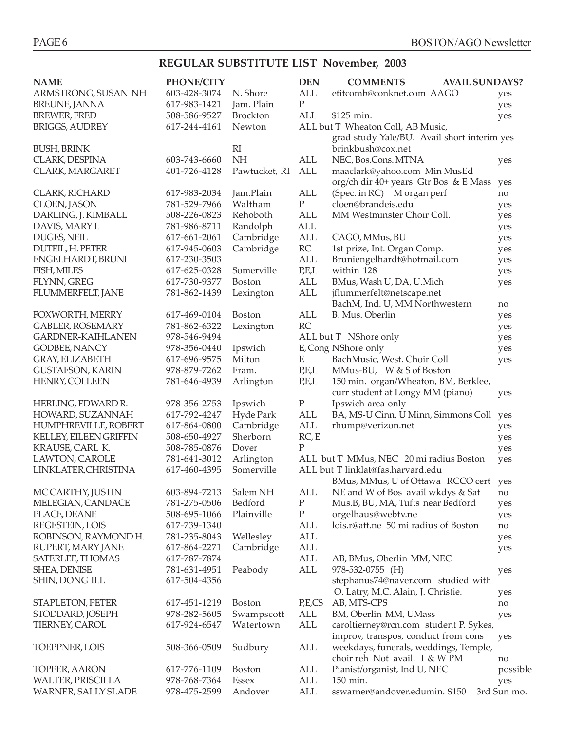### **REGULAR SUBSTITUTE LIST November, 2003**

| <b>NAME</b>                        | <b>PHONE/CITY</b>            |                        | <b>DEN</b>       | <b>COMMENTS</b><br><b>AVAIL SUNDAYS?</b>    |                    |
|------------------------------------|------------------------------|------------------------|------------------|---------------------------------------------|--------------------|
| ARMSTRONG, SUSAN NH                | 603-428-3074                 | N. Shore               | <b>ALL</b>       | etitcomb@conknet.com AAGO                   | yes                |
| BREUNE, JANNA                      | 617-983-1421                 | Jam. Plain             | $\mathbf{P}$     |                                             | yes                |
| <b>BREWER, FRED</b>                | 508-586-9527                 | <b>Brockton</b>        | ALL              | \$125 min.                                  | yes                |
| <b>BRIGGS, AUDREY</b>              | 617-244-4161                 | Newton                 |                  | ALL but T Wheaton Coll, AB Music,           |                    |
|                                    |                              |                        |                  | grad study Yale/BU. Avail short interim yes |                    |
| <b>BUSH, BRINK</b>                 |                              | $R_{I}$                |                  | brinkbush@cox.net                           |                    |
| CLARK, DESPINA                     | 603-743-6660                 | <b>NH</b>              | <b>ALL</b>       | NEC, Bos.Cons. MTNA                         | yes                |
| CLARK, MARGARET                    | 401-726-4128                 | Pawtucket, RI          | ALL              | maaclark@yahoo.com Min MusEd                |                    |
|                                    |                              |                        |                  | org/ch dir 40+ years Gtr Bos & E Mass       | yes                |
| CLARK, RICHARD                     | 617-983-2034                 | Jam.Plain              | ALL              | (Spec. in RC) M organ perf                  | no                 |
| CLOEN, JASON                       | 781-529-7966                 | Waltham                | $\mathbf{P}$     | cloen@brandeis.edu                          | yes                |
| DARLING, J. KIMBALL                | 508-226-0823                 | Rehoboth               | <b>ALL</b>       | MM Westminster Choir Coll.                  | yes                |
| DAVIS, MARY L                      | 781-986-8711                 | Randolph               | ALL              |                                             | yes                |
| DUGES, NEIL                        | 617-661-2061                 | Cambridge              | <b>ALL</b>       | CAGO, MMus, BU                              | yes                |
| DUTEIL, H. PETER                   | 617-945-0603                 | Cambridge              | RC<br><b>ALL</b> | 1st prize, Int. Organ Comp.                 | yes                |
| ENGELHARDT, BRUNI<br>FISH, MILES   | 617-230-3503<br>617-625-0328 | Somerville             | P,E,L            | Bruniengelhardt@hotmail.com<br>within 128   | yes                |
| FLYNN, GREG                        | 617-730-9377                 | Boston                 | <b>ALL</b>       | BMus, Wash U, DA, U.Mich                    | yes                |
| FLUMMERFELT, JANE                  | 781-862-1439                 | Lexington              | ALL              | jflummerfelt@netscape.net                   | yes                |
|                                    |                              |                        |                  | BachM, Ind. U, MM Northwestern              | no                 |
| FOXWORTH, MERRY                    | 617-469-0104                 | <b>Boston</b>          | <b>ALL</b>       | B. Mus. Oberlin                             |                    |
| <b>GABLER, ROSEMARY</b>            | 781-862-6322                 | Lexington              | <b>RC</b>        |                                             | yes                |
| <b>GARDNER-KAIHLANEN</b>           | 978-546-9494                 |                        |                  | ALL but T NShore only                       | yes                |
| GODBEE, NANCY                      | 978-356-0440                 | Ipswich                |                  | E, Cong NShore only                         | yes<br>yes         |
| <b>GRAY, ELIZABETH</b>             | 617-696-9575                 | Milton                 | E                | BachMusic, West. Choir Coll                 | yes                |
| <b>GUSTAFSON, KARIN</b>            | 978-879-7262                 | Fram.                  | P,E,L            | MMus-BU, W & S of Boston                    |                    |
| HENRY, COLLEEN                     | 781-646-4939                 | Arlington              | P,E,L            | 150 min. organ/Wheaton, BM, Berklee,        |                    |
|                                    |                              |                        |                  | curr student at Longy MM (piano)            | yes                |
| HERLING, EDWARD R.                 | 978-356-2753                 | Ipswich                | ${\bf P}$        | Ipswich area only                           |                    |
| HOWARD, SUZANNAH                   | 617-792-4247                 | Hyde Park              | <b>ALL</b>       | BA, MS-U Cinn, U Minn, Simmons Coll         | yes                |
| HUMPHREVILLE, ROBERT               | 617-864-0800                 | Cambridge              | <b>ALL</b>       | rhump@verizon.net                           | yes                |
| KELLEY, EILEEN GRIFFIN             | 508-650-4927                 | Sherborn               | RC, E            |                                             | yes                |
| KRAUSE, CARL K.                    | 508-785-0876                 | Dover                  | P                |                                             | yes                |
| LAWTON, CAROLE                     | 781-641-3012                 | Arlington              |                  | ALL but T MMus, NEC 20 mi radius Boston     | yes                |
| LINKLATER, CHRISTINA               | 617-460-4395                 | Somerville             |                  | ALL but T linklat@fas.harvard.edu           |                    |
|                                    |                              |                        |                  | BMus, MMus, U of Ottawa RCCO cert yes       |                    |
| MC CARTHY, JUSTIN                  | 603-894-7213                 | Salem NH               | ALL              | NE and W of Bos avail wkdys & Sat           | no                 |
| MELEGIAN, CANDACE                  | 781-275-0506                 | Bedford                | ${\bf P}$        | Mus.B, BU, MA, Tufts near Bedford           | yes                |
| PLACE, DEANE                       | 508-695-1066                 | Plainville             | ${\bf P}$        | orgelhaus@webtv.ne                          | yes                |
| REGESTEIN, LOIS                    | 617-739-1340                 |                        | ALL              | lois.r@att.ne 50 mi radius of Boston        | no                 |
| ROBINSON, RAYMOND H.               | 781-235-8043                 | Wellesley              | ALL              |                                             | yes                |
| RUPERT, MARY JANE                  | 617-864-2271                 | Cambridge              | ALL              |                                             | yes                |
| SATERLEE, THOMAS                   | 617-787-7874                 |                        | ALL              | AB, BMus, Oberlin MM, NEC                   |                    |
| SHEA, DENISE                       | 781-631-4951                 | Peabody                | ALL              | 978-532-0755 (H)                            | yes                |
| SHIN, DONG ILL                     | 617-504-4356                 |                        |                  | stephanus74@naver.com studied with          |                    |
|                                    |                              |                        |                  | O. Latry, M.C. Alain, J. Christie.          | yes                |
| STAPLETON, PETER                   | 617-451-1219                 | <b>Boston</b>          | P,E,CS           | AB, MTS-CPS                                 | no                 |
| STODDARD, JOSEPH                   | 978-282-5605                 | Swampscott             | ALL              | BM, Oberlin MM, UMass                       | yes                |
| TIERNEY, CAROL                     | 617-924-6547                 | Watertown              | ALL              | caroltierney@rcn.com student P. Sykes,      |                    |
|                                    |                              |                        |                  | improv, transpos, conduct from cons         | yes                |
| TOEPPNER, LOIS                     | 508-366-0509                 | Sudbury                | ALL              | weekdays, funerals, weddings, Temple,       |                    |
|                                    | 617-776-1109                 |                        | ALL              | choir reh Not avail. T & W PM               | no                 |
| TOPFER, AARON<br>WALTER, PRISCILLA | 978-768-7364                 | Boston<br><b>Essex</b> | ALL              | Pianist/organist, Ind U, NEC<br>150 min.    | possible           |
| WARNER, SALLY SLADE                | 978-475-2599                 | Andover                | ALL              | sswarner@andover.edumin. \$150              | yes<br>3rd Sun mo. |
|                                    |                              |                        |                  |                                             |                    |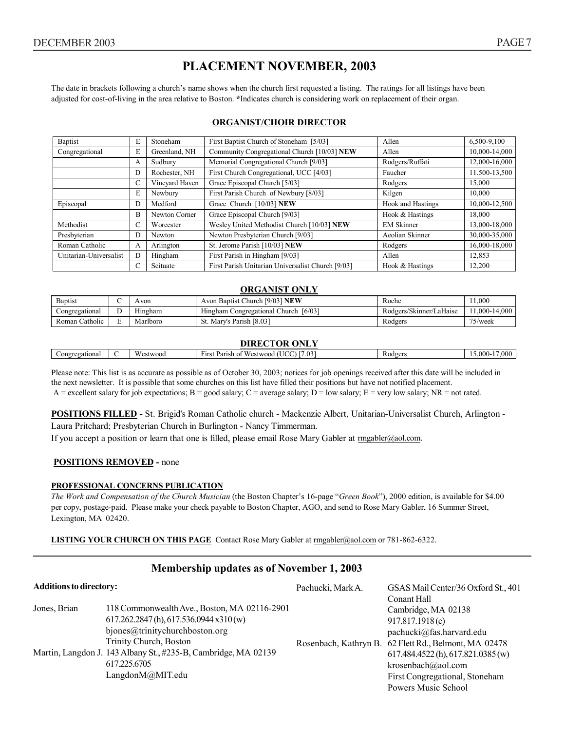The date in brackets following a church's name shows when the church first requested a listing. The ratings for all listings have been adjusted for cost-of-living in the area relative to Boston. **\***Indicates church is considering work on replacement of their organ.

#### **ORGANIST/CHOIR DIRECTOR**

| Baptist                | E | Stoneham       | First Baptist Church of Stoneham [5/03]           | Allen                    | 6,500-9,100   |
|------------------------|---|----------------|---------------------------------------------------|--------------------------|---------------|
| Congregational         | E | Greenland, NH  | Community Congregational Church [10/03] NEW       | Allen                    | 10.000-14.000 |
|                        | А | Sudbury        | Memorial Congregational Church [9/03]             | Rodgers/Ruffati          | 12,000-16,000 |
|                        | D | Rochester, NH  | First Church Congregational, UCC [4/03]           | Faucher                  | 11.500-13,500 |
|                        | C | Vinevard Haven | Grace Episcopal Church [5/03]                     | Rodgers                  | 15,000        |
|                        | Ε | Newbury        | First Parish Church of Newbury [8/03]             | Kilgen                   | 10.000        |
| Episcopal              | D | Medford        | Grace Church [10/03] NEW                          | <b>Hook and Hastings</b> | 10,000-12,500 |
|                        | B | Newton Corner  | Grace Episcopal Church [9/03]                     | Hook & Hastings          | 18.000        |
| Methodist              | C | Worcester      | Wesley United Methodist Church [10/03] NEW        | <b>EM Skinner</b>        | 13,000-18,000 |
| Presbyterian           | D | Newton         | Newton Presbyterian Church [9/03]                 | Aeolian Skinner          | 30,000-35,000 |
| Roman Catholic         | A | Arlington      | St. Jerome Parish [10/03] NEW                     | Rodgers                  | 16,000-18,000 |
| Unitarian-Universalist | D | Hingham        | First Parish in Hingham [9/03]                    | Allen                    | 12.853        |
|                        | C | Scituate       | First Parish Unitarian Universalist Church [9/03] | Hook & Hastings          | 12,200        |

#### **ORGANIST ONLY**

| <b>Baptist</b>                    | Avon     | Avon Baptist Church [9/03] NEW               | Roche                   | .000          |
|-----------------------------------|----------|----------------------------------------------|-------------------------|---------------|
| Congregational                    | Hıngham  | [6/03]<br>n Congregational Church<br>Hingham | Rodgers/Skinner/LaHaise | 11.000-14.000 |
| $\cdot$ $\cdot$<br>Roman Catholic | Marlboro | Parish [8.03]<br>Mary's                      | Rodgers                 | $75$ /week    |

#### **DIRECTOR ONLY**

| <b>DIMECTON OFFICE</b> |  |              |                                                                                                            |        |                 |  |  |  |  |  |
|------------------------|--|--------------|------------------------------------------------------------------------------------------------------------|--------|-----------------|--|--|--|--|--|
| Congregational         |  | W<br>estwood | <b>Service</b> S<br>$\sim$ $\sim$<br>$\sim$ $-$<br>Parish<br>$\sim$ $\sim$ $+$<br>Westwood<br>First<br>.03 | nd oer | $.000 -$<br>000 |  |  |  |  |  |
|                        |  |              |                                                                                                            |        |                 |  |  |  |  |  |

Please note: This list is as accurate as possible as of October 30, 2003; notices for job openings received after this date will be included in the next newsletter. It is possible that some churches on this list have filled their positions but have not notified placement. A = excellent salary for job expectations; B = good salary; C = average salary; D = low salary; E = very low salary; NR = not rated.

**POSITIONS FILLED -** St. Brigid's Roman Catholic church - Mackenzie Albert, Unitarian-Universalist Church, Arlington - Laura Pritchard; Presbyterian Church in Burlington - Nancy Timmerman.

If you accept a position or learn that one is filled, please email Rose Mary Gabler at rmgabler@aol.com.

#### **POSITIONS REMOVED -** none

#### **PROFESSIONAL CONCERNS PUBLICATION**

*The Work and Compensation of the Church Musician* (the Boston Chapter's 16-page "*Green Book*"), 2000 edition, is available for \$4.00 per copy, postage-paid. Please make your check payable to Boston Chapter, AGO, and send to Rose Mary Gabler, 16 Summer Street, Lexington, MA 02420.

**LISTING YOUR CHURCH ON THIS PAGE** Contact Rose Mary Gabler at rmgabler@aol.com or 781-862-6322.

#### **Membership updates as of November 1, 2003**

| <b>Additions to directory:</b> |                                                                                | Pachucki, Mark A. | GSAS Mail Center/36 Oxford St., 401                   |  |  |
|--------------------------------|--------------------------------------------------------------------------------|-------------------|-------------------------------------------------------|--|--|
|                                |                                                                                |                   | Conant Hall                                           |  |  |
| Jones, Brian                   | 118 Commonwealth Ave., Boston, MA 02116-2901                                   |                   | Cambridge, MA 02138                                   |  |  |
|                                | 617.262.2847(h), 617.536.0944 x310(w)                                          |                   | 917.817.1918(c)                                       |  |  |
|                                | bjones@trinitychurchboston.org                                                 |                   | pachucki@fas.harvard.edu                              |  |  |
|                                | Trinity Church, Boston                                                         |                   | Rosenbach, Kathryn B. 62 Flett Rd., Belmont, MA 02478 |  |  |
|                                | Martin, Langdon J. 143 Albany St., #235-B, Cambridge, MA 02139<br>617.225.6705 |                   | 617.484.4522(h), 617.821.0385(w)                      |  |  |
|                                |                                                                                |                   | krosenbach@aol.com                                    |  |  |
|                                | LangdonM@MIT.edu                                                               |                   | First Congregational, Stoneham                        |  |  |
|                                |                                                                                |                   | Powers Music School                                   |  |  |